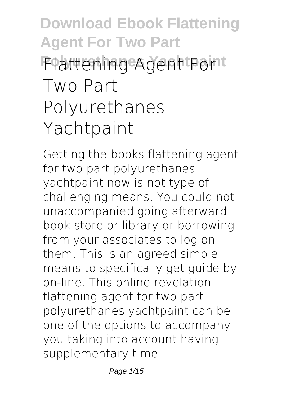# **Download Ebook Flattening Agent For Two Part Polyurethanes Yachtpaint Flattening Agent For Two Part Polyurethanes Yachtpaint**

Getting the books **flattening agent for two part polyurethanes yachtpaint** now is not type of challenging means. You could not unaccompanied going afterward book store or library or borrowing from your associates to log on them. This is an agreed simple means to specifically get guide by on-line. This online revelation flattening agent for two part polyurethanes yachtpaint can be one of the options to accompany you taking into account having supplementary time.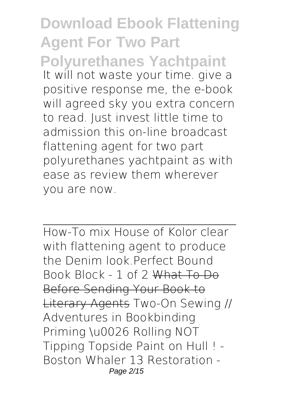**Download Ebook Flattening Agent For Two Part Polyurethanes Yachtpaint** It will not waste your time. give a positive response me, the e-book will agreed sky you extra concern to read. Just invest little time to admission this on-line broadcast **flattening agent for two part polyurethanes yachtpaint** as with ease as review them wherever you are now.

How-To mix House of Kolor clear with flattening agent to produce the Denim look.*Perfect Bound Book Block - 1 of 2* What To Do Before Sending Your Book to Literary Agents **Two-On Sewing // Adventures in Bookbinding** *Priming \u0026 Rolling NOT Tipping Topside Paint on Hull ! - Boston Whaler 13 Restoration -* Page 2/15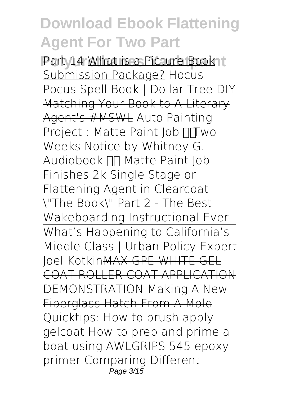**Part 14 What is a Picture Book it** Submission Package? *Hocus Pocus Spell Book | Dollar Tree DIY* Matching Your Book to A Literary Agent's #MSWL **Auto Painting Project : Matte Paint Job Two Weeks Notice by Whitney G.** Audiobook **NAT Matte Paint Job** Finishes 2k Single Stage or Flattening Agent in Clearcoat \"The Book\" Part 2 - The Best Wakeboarding Instructional Ever What's Happening to California's Middle Class | Urban Policy Expert Joel KotkinMAX GPE WHITE GEL COAT ROLLER COAT APPLICATION DEMONSTRATION Making A New Fiberglass Hatch From A Mold **Quicktips: How to brush apply gelcoat** *How to prep and prime a boat using AWLGRIPS 545 epoxy primer* **Comparing Different** Page 3/15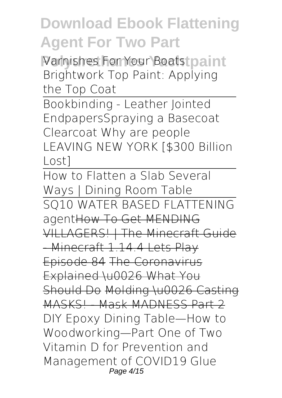**Varnishes For Your Boats paint Brightwork** *Top Paint: Applying the Top Coat*

Bookbinding - Leather Jointed Endpapers*Spraying a Basecoat Clearcoat* Why are people LEAVING NEW YORK [\$300 Billion Lost]

How to Flatten a Slab Several Ways | Dining Room Table SQ10 WATER BASED FLATTENING agentHow To Get MENDING VILLAGERS! | The Minecraft Guide -Minecraft 1.14.4 Lets Play Episode 84 The Coronavirus Explained \u0026 What You Should Do Molding \u0026 Casting MASKS! Mask MADNESS Part 2 DIY Epoxy Dining Table—How to Woodworking—Part One of Two Vitamin D for Prevention and Management of COVID19 **Glue** Page 4/15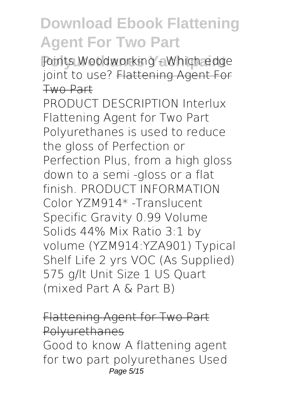**Polyurethanes Yachtpaint Joints Woodworking - Which edge joint to use?** Flattening Agent For Two Part

PRODUCT DESCRIPTION Interlux Flattening Agent for Two Part Polyurethanes is used to reduce the gloss of Perfection or Perfection Plus, from a high gloss down to a semi -gloss or a flat finish. PRODUCT INFORMATION Color YZM914\* -Translucent Specific Gravity 0.99 Volume Solids 44% Mix Ratio 3:1 by volume (YZM914:YZA901) Typical Shelf Life 2 yrs VOC (As Supplied) 575 g/lt Unit Size 1 US Quart (mixed Part A & Part B)

Flattening Agent for Two Part Polyurethanes Good to know A flattening agent for two part polyurethanes Used Page 5/15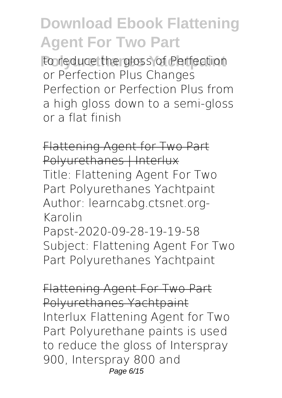to reduce the gloss of Perfection or Perfection Plus Changes Perfection or Perfection Plus from a high gloss down to a semi-gloss or a flat finish

Flattening Agent for Two Part Polyurethanes | Interlux Title: Flattening Agent For Two Part Polyurethanes Yachtpaint Author: learncabg.ctsnet.org-Karolin

Papst-2020-09-28-19-19-58 Subject: Flattening Agent For Two Part Polyurethanes Yachtpaint

Flattening Agent For Two Part Polyurethanes Yachtpaint Interlux Flattening Agent for Two Part Polyurethane paints is used to reduce the gloss of Interspray 900, Interspray 800 and Page 6/15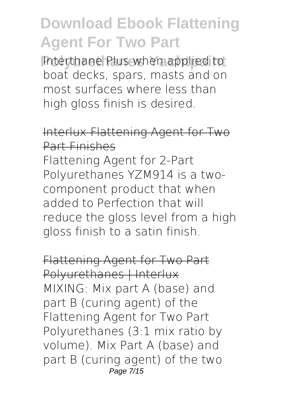**Interthane Plus when applied to** boat decks, spars, masts and on most surfaces where less than high gloss finish is desired.

#### Interlux Flattening Agent for Two Part Finishes

Flattening Agent for 2-Part Polyurethanes YZM914 is a twocomponent product that when added to Perfection that will reduce the gloss level from a high gloss finish to a satin finish.

Flattening Agent for Two Part Polyurethanes | Interlux MIXING: Mix part A (base) and part B (curing agent) of the Flattening Agent for Two Part Polyurethanes (3:1 mix ratio by volume). Mix Part A (base) and part B (curing agent) of the two Page 7/15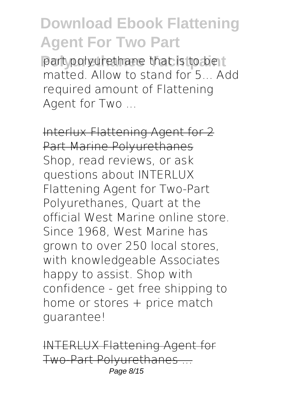part polyurethane that is to be t matted. Allow to stand for 5... Add required amount of Flattening Agent for Two ...

Interlux Flattening Agent for 2 Part Marine Polyurethanes Shop, read reviews, or ask questions about INTERLUX Flattening Agent for Two-Part Polyurethanes, Quart at the official West Marine online store. Since 1968, West Marine has grown to over 250 local stores, with knowledgeable Associates happy to assist. Shop with confidence - get free shipping to home or stores + price match guarantee!

INTERLUX Flattening Agent for Two-Part Polyurethanes ... Page 8/15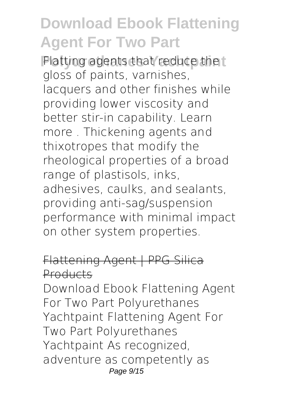**Platting agents that reduce the t** gloss of paints, varnishes, lacquers and other finishes while providing lower viscosity and better stir-in capability. Learn more . Thickening agents and thixotropes that modify the rheological properties of a broad range of plastisols, inks, adhesives, caulks, and sealants, providing anti-sag/suspension performance with minimal impact on other system properties.

#### Flattening Agent | PPG Silica Products

Download Ebook Flattening Agent For Two Part Polyurethanes Yachtpaint Flattening Agent For Two Part Polyurethanes Yachtpaint As recognized, adventure as competently as Page 9/15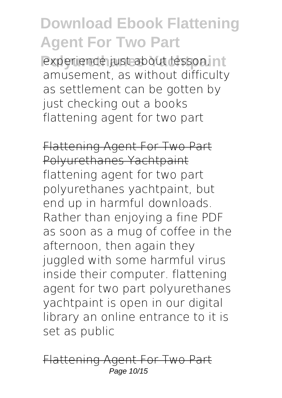**Polynomiana Polynomiana Polynomiana** amusement, as without difficulty as settlement can be gotten by just checking out a books flattening agent for two part

Flattening Agent For Two Part Polyurethanes Yachtpaint flattening agent for two part polyurethanes yachtpaint, but end up in harmful downloads. Rather than enjoying a fine PDF as soon as a mug of coffee in the afternoon, then again they juggled with some harmful virus inside their computer. flattening agent for two part polyurethanes yachtpaint is open in our digital library an online entrance to it is set as public

Flattening Agent For Two Part Page 10/15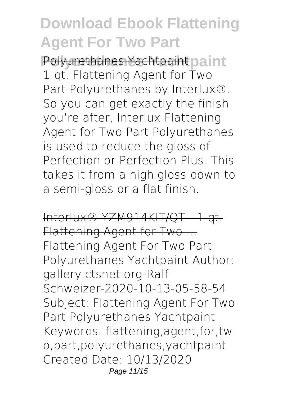**Polyurethanes Yachtpaint** Polyurethanes Yachtpaint 1 qt. Flattening Agent for Two Part Polyurethanes by Interlux®. So you can get exactly the finish you're after, Interlux Flattening Agent for Two Part Polyurethanes is used to reduce the gloss of Perfection or Perfection Plus. This takes it from a high gloss down to a semi-gloss or a flat finish.

Interlux® YZM914KIT/QT - 1 qt. Flattening Agent for Two ... Flattening Agent For Two Part Polyurethanes Yachtpaint Author: gallery.ctsnet.org-Ralf Schweizer-2020-10-13-05-58-54 Subject: Flattening Agent For Two Part Polyurethanes Yachtpaint Keywords: flattening,agent,for,tw o,part,polyurethanes,yachtpaint Created Date: 10/13/2020 Page 11/15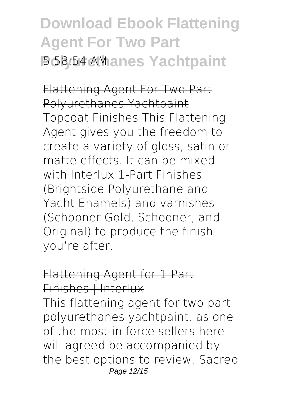**Download Ebook Flattening Agent For Two Part Polyurethanes Yachtpaint** 5:58:54 AM

Flattening Agent For Two Part Polyurethanes Yachtpaint Topcoat Finishes This Flattening Agent gives you the freedom to create a variety of gloss, satin or matte effects. It can be mixed with Interlux 1-Part Finishes (Brightside Polyurethane and Yacht Enamels) and varnishes (Schooner Gold, Schooner, and Original) to produce the finish you're after.

#### Flattening Agent for 1-Part Finishes | Interlux

This flattening agent for two part polyurethanes yachtpaint, as one of the most in force sellers here will agreed be accompanied by the best options to review. Sacred Page 12/15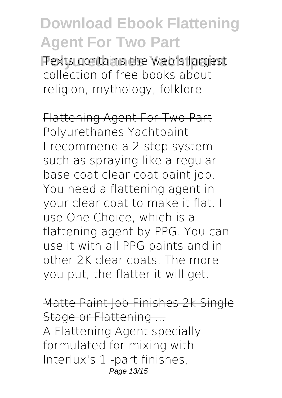**Polyurethanes Yachtpaint** Texts contains the web's largest collection of free books about religion, mythology, folklore

Flattening Agent For Two Part Polyurethanes Yachtpaint I recommend a 2-step system such as spraying like a regular base coat clear coat paint job. You need a flattening agent in your clear coat to make it flat. I use One Choice, which is a flattening agent by PPG. You can use it with all PPG paints and in other 2K clear coats. The more you put, the flatter it will get.

Matte Paint Job Finishes 2k Single Stage or Flattening ... A Flattening Agent specially formulated for mixing with Interlux's 1 -part finishes, Page 13/15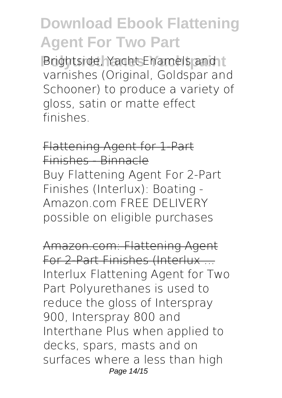**Brightside, Yacht Enamels and t** varnishes (Original, Goldspar and Schooner) to produce a variety of gloss, satin or matte effect finishes.

Flattening Agent for 1-Part Finishes - Binnacle Buy Flattening Agent For 2-Part Finishes (Interlux): Boating - Amazon.com FREE DELIVERY possible on eligible purchases

Amazon.com: Flattening Agent For 2-Part Finishes (Interlux ... Interlux Flattening Agent for Two Part Polyurethanes is used to reduce the gloss of Interspray 900, Interspray 800 and Interthane Plus when applied to decks, spars, masts and on surfaces where a less than high Page 14/15